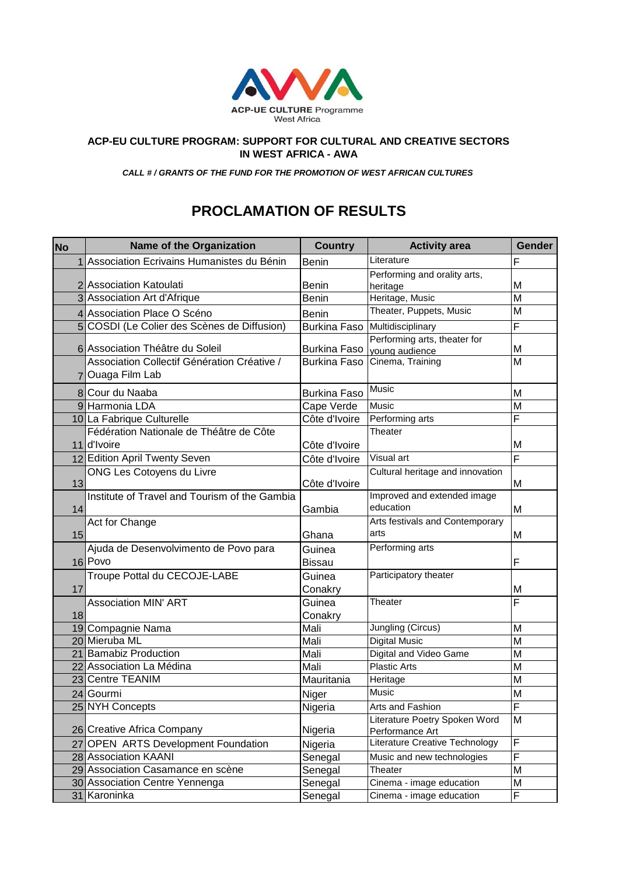

## **ACP-EU CULTURE PROGRAM: SUPPORT FOR CULTURAL AND CREATIVE SECTORS IN WEST AFRICA - AWA**

*CALL # / GRANTS OF THE FUND FOR THE PROMOTION OF WEST AFRICAN CULTURES*

## **PROCLAMATION OF RESULTS**

| No | <b>Name of the Organization</b>                                 | <b>Country</b>      | <b>Activity area</b>                             | <b>Gender</b>  |
|----|-----------------------------------------------------------------|---------------------|--------------------------------------------------|----------------|
|    | Association Ecrivains Humanistes du Bénin                       | <b>Benin</b>        | Literature                                       | F              |
|    |                                                                 |                     | Performing and orality arts,                     |                |
|    | 2 Association Katoulati                                         | <b>Benin</b>        | heritage                                         | M              |
|    | 3 Association Art d'Afrique                                     | <b>Benin</b>        | Heritage, Music                                  | $\overline{M}$ |
|    | 4 Association Place O Scéno                                     | <b>Benin</b>        | Theater, Puppets, Music                          | M              |
|    | 5 COSDI (Le Colier des Scènes de Diffusion)                     | <b>Burkina Faso</b> | Multidisciplinary                                | F              |
|    |                                                                 |                     | Performing arts, theater for                     |                |
|    | 6 Association Théâtre du Soleil                                 | <b>Burkina Faso</b> | voung audience<br>Cinema, Training               | M<br>M         |
|    | Association Collectif Génération Créative /<br>7 Ouaga Film Lab | <b>Burkina Faso</b> |                                                  |                |
|    | 8 Cour du Naaba                                                 | <b>Burkina Faso</b> | <b>Music</b>                                     | M              |
|    | 9 Harmonia LDA                                                  | Cape Verde          | Music                                            | M              |
|    | 10 La Fabrique Culturelle                                       | Côte d'Ivoire       | Performing arts                                  | F              |
|    | Fédération Nationale de Théâtre de Côte                         |                     | Theater                                          |                |
|    | 11 d'Ivoire                                                     | Côte d'Ivoire       |                                                  | M              |
|    | 12 Edition April Twenty Seven                                   | Côte d'Ivoire       | Visual art                                       | $\overline{F}$ |
|    | ONG Les Cotoyens du Livre                                       |                     | Cultural heritage and innovation                 |                |
| 13 |                                                                 | Côte d'Ivoire       |                                                  | M              |
|    | Institute of Travel and Tourism of the Gambia                   |                     | Improved and extended image                      |                |
| 14 |                                                                 | Gambia              | education                                        | M              |
|    | Act for Change                                                  |                     | Arts festivals and Contemporary                  |                |
| 15 |                                                                 | Ghana               | arts                                             | M              |
|    | Ajuda de Desenvolvimento de Povo para                           | Guinea              | Performing arts                                  |                |
|    | 16 Povo                                                         | <b>Bissau</b>       |                                                  | F              |
|    | Troupe Pottal du CECOJE-LABE                                    | Guinea              | Participatory theater                            |                |
| 17 |                                                                 | Conakry             |                                                  | M              |
|    | <b>Association MIN' ART</b>                                     | Guinea              | Theater                                          | F              |
| 18 |                                                                 | Conakry             |                                                  |                |
|    | 19 Compagnie Nama                                               | Mali                | Jungling (Circus)                                | M              |
|    | 20 Mieruba ML                                                   | Mali                | <b>Digital Music</b>                             | M              |
|    | 21 Bamabiz Production                                           | Mali                | Digital and Video Game                           | M              |
|    | 22 Association La Médina                                        | Mali                | <b>Plastic Arts</b>                              | M              |
|    | 23 Centre TEANIM                                                | Mauritania          | Heritage                                         | M              |
|    | 24 Gourmi                                                       | Niger               | Music                                            | M              |
|    | 25 NYH Concepts                                                 | Nigeria             | Arts and Fashion                                 | F              |
|    | 26 Creative Africa Company                                      | Nigeria             | Literature Poetry Spoken Word<br>Performance Art | M              |
|    | 27 OPEN ARTS Development Foundation                             | Nigeria             | Literature Creative Technology                   | F              |
|    | 28 Association KAANI                                            | Senegal             | Music and new technologies                       | F              |
|    | 29 Association Casamance en scène                               | Senegal             | Theater                                          | М              |
|    | 30 Association Centre Yennenga                                  | Senegal             | Cinema - image education                         | M              |
|    | 31 Karoninka                                                    | Senegal             | Cinema - image education                         | F              |